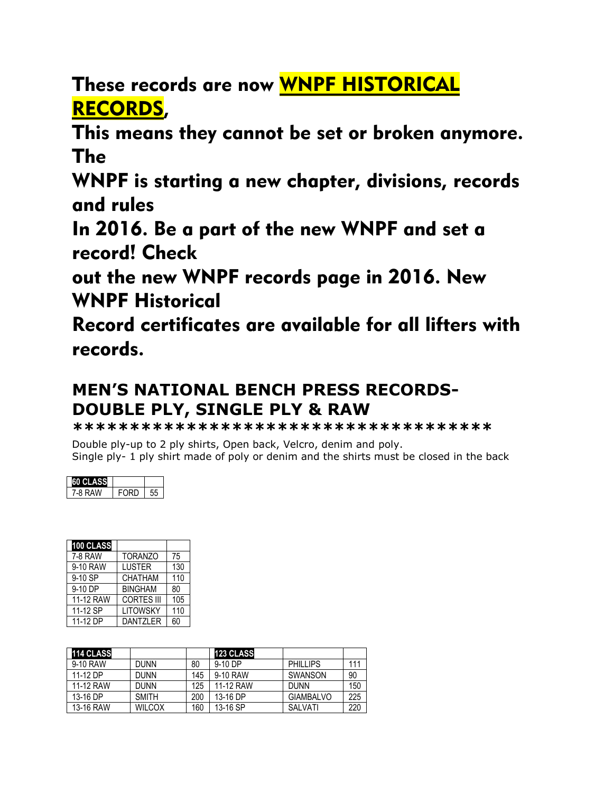These records are now WNPF HISTORICAL RECORDS,

This means they cannot be set or broken anymore. The

WNPF is starting a new chapter, divisions, records and rules

In 2016. Be a part of the new WNPF and set a record! Check

out the new WNPF records page in 2016. New WNPF Historical

Record certificates are available for all lifters with records.

## **MEN'S NATIONAL BENCH PRESS RECORDS-DOUBLE PLY, SINGLE PLY & RAW**

**\*\*\*\*\*\*\*\*\*\*\*\*\*\*\*\*\*\*\*\*\*\*\*\*\*\*\*\*\*\*\*\*\*\*\*\*\***

Double ply-up to 2 ply shirts, Open back, Velcro, denim and poly. Single ply- 1 ply shirt made of poly or denim and the shirts must be closed in the back

| <b>SITALIASS</b> |          |  |
|------------------|----------|--|
| '-8 RAW          | ∶ ا⊊۱ کا |  |

| 100 CLASS |                   |     |
|-----------|-------------------|-----|
| 7-8 RAW   | <b>TORANZO</b>    | 75  |
| 9-10 RAW  | <b>LUSTER</b>     | 130 |
| 9-10 SP   | <b>CHATHAM</b>    | 110 |
| 9-10 DP   | <b>BINGHAM</b>    | 80  |
| 11-12 RAW | <b>CORTES III</b> | 105 |
| 11-12 SP  | <b>LITOWSKY</b>   | 110 |
| 11-12 DP  | DANTZI FR         | 60  |

| <b>114 CLASS</b> |               |     | <b>123 CLASS</b> |                  |     |
|------------------|---------------|-----|------------------|------------------|-----|
| 9-10 RAW         | <b>DUNN</b>   | 80  | 9-10 DP          | <b>PHILLIPS</b>  | 111 |
| 11-12 DP         | <b>DUNN</b>   | 145 | 9-10 RAW         | SWANSON          | 90  |
| 11-12 RAW        | <b>DUNN</b>   | 125 | 11-12 RAW        | <b>DUNN</b>      | 150 |
| 13-16 DP         | <b>SMITH</b>  | 200 | 13-16 DP         | <b>GIAMBALVO</b> | 225 |
| 13-16 RAW        | <b>WILCOX</b> | 160 | 13-16 SP         | SALVATI          | 220 |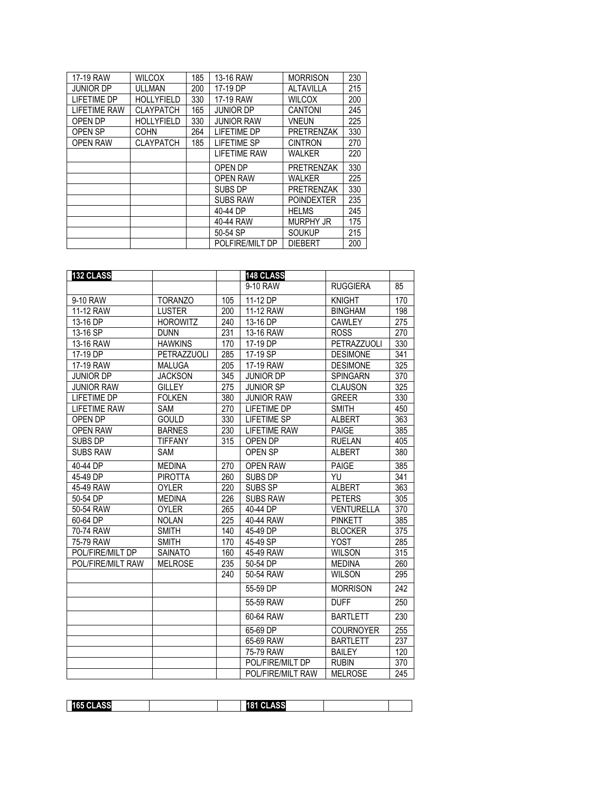| 17-19 RAW           | <b>WILCOX</b>     | 185 | 13-16 RAW           | <b>MORRISON</b>   | 230 |
|---------------------|-------------------|-----|---------------------|-------------------|-----|
| <b>JUNIOR DP</b>    | ULLMAN            | 200 | 17-19 DP            | <b>ALTAVILLA</b>  | 215 |
| <b>LIFETIME DP</b>  | <b>HOLLYFIELD</b> | 330 | 17-19 RAW           | <b>WILCOX</b>     | 200 |
| <b>LIFETIME RAW</b> | <b>CLAYPATCH</b>  | 165 | <b>JUNIOR DP</b>    | <b>CANTONI</b>    | 245 |
| OPEN DP             | <b>HOLLYFIELD</b> | 330 | <b>JUNIOR RAW</b>   | <b>VNEUN</b>      | 225 |
| OPEN SP             | <b>COHN</b>       | 264 | LIFETIME DP         | <b>PRETRENZAK</b> | 330 |
| <b>OPEN RAW</b>     | <b>CLAYPATCH</b>  | 185 | <b>LIFETIME SP</b>  | <b>CINTRON</b>    | 270 |
|                     |                   |     | <b>LIFETIME RAW</b> | <b>WALKER</b>     | 220 |
|                     |                   |     | OPEN DP             | <b>PRETRENZAK</b> | 330 |
|                     |                   |     | <b>OPEN RAW</b>     | <b>WALKER</b>     | 225 |
|                     |                   |     | SUBS DP             | <b>PRETRENZAK</b> | 330 |
|                     |                   |     | <b>SUBS RAW</b>     | <b>POINDEXTER</b> | 235 |
|                     |                   |     | 40-44 DP            | <b>HELMS</b>      | 245 |
|                     |                   |     | 40-44 RAW           | <b>MURPHY JR</b>  | 175 |
|                     |                   |     | 50-54 SP            | <b>SOUKUP</b>     | 215 |
|                     |                   |     | POLFIRE/MILT DP     | <b>DIEBERT</b>    | 200 |

| 132 CLASS           |                 |     | 148 CLASS           |                    |                  |
|---------------------|-----------------|-----|---------------------|--------------------|------------------|
|                     |                 |     | 9-10 RAW            | <b>RUGGIERA</b>    | 85               |
| 9-10 RAW            | <b>TORANZO</b>  | 105 | 11-12 DP            | <b>KNIGHT</b>      | 170              |
| 11-12 RAW           | <b>LUSTER</b>   | 200 | 11-12 RAW           | <b>BINGHAM</b>     | 198              |
| 13-16 DP            | <b>HOROWITZ</b> | 240 | 13-16 DP            | <b>CAWLEY</b>      | 275              |
| 13-16 SP            | <b>DUNN</b>     | 231 | 13-16 RAW           | <b>ROSS</b>        | 270              |
| 13-16 RAW           | <b>HAWKINS</b>  | 170 | 17-19 DP            | <b>PETRAZZUOLI</b> | 330              |
| 17-19 DP            | PETRAZZUOLI     | 285 | 17-19 SP            | <b>DESIMONE</b>    | 341              |
| 17-19 RAW           | <b>MALUGA</b>   | 205 | 17-19 RAW           | <b>DESIMONE</b>    | 325              |
| <b>JUNIOR DP</b>    | <b>JACKSON</b>  | 345 | <b>JUNIOR DP</b>    | <b>SPINGARN</b>    | 370              |
| <b>JUNIOR RAW</b>   | <b>GILLEY</b>   | 275 | <b>JUNIOR SP</b>    | <b>CLAUSON</b>     | 325              |
| <b>LIFETIME DP</b>  | <b>FOLKEN</b>   | 380 | <b>JUNIOR RAW</b>   | <b>GREER</b>       | 330              |
| <b>LIFETIME RAW</b> | <b>SAM</b>      | 270 | LIFETIME DP         | <b>SMITH</b>       | 450              |
| OPEN DP             | <b>GOULD</b>    | 330 | <b>LIFETIME SP</b>  | <b>ALBERT</b>      | 363              |
| <b>OPEN RAW</b>     | <b>BARNES</b>   | 230 | <b>LIFETIME RAW</b> | <b>PAIGE</b>       | 385              |
| SUBS DP             | <b>TIFFANY</b>  | 315 | OPEN DP             | <b>RUELAN</b>      | 405              |
| <b>SUBS RAW</b>     | <b>SAM</b>      |     | OPEN SP             | <b>ALBERT</b>      | 380              |
| 40-44 DP            | <b>MEDINA</b>   | 270 | <b>OPEN RAW</b>     | <b>PAIGE</b>       | 385              |
| 45-49 DP            | <b>PIROTTA</b>  | 260 | SUBS DP             | YU                 | 341              |
| 45-49 RAW           | <b>OYLER</b>    | 220 | SUBS SP             | <b>ALBERT</b>      | 363              |
| 50-54 DP            | <b>MEDINA</b>   | 226 | <b>SUBS RAW</b>     | <b>PETERS</b>      | 305              |
| 50-54 RAW           | <b>OYLER</b>    | 265 | 40-44 DP            | <b>VENTURELLA</b>  | 370              |
| 60-64 DP            | <b>NOLAN</b>    | 225 | 40-44 RAW           | <b>PINKETT</b>     | 385              |
| 70-74 RAW           | <b>SMITH</b>    | 140 | 45-49 DP            | <b>BLOCKER</b>     | $\overline{375}$ |
| 75-79 RAW           | <b>SMITH</b>    | 170 | 45-49 SP            | <b>YOST</b>        | 285              |
| POL/FIRE/MILT DP    | <b>SAINATO</b>  | 160 | 45-49 RAW           | <b>WILSON</b>      | 315              |
| POL/FIRE/MILT RAW   | <b>MELROSE</b>  | 235 | 50-54 DP            | <b>MEDINA</b>      | 260              |
|                     |                 | 240 | 50-54 RAW           | <b>WILSON</b>      | 295              |
|                     |                 |     | 55-59 DP            | <b>MORRISON</b>    | 242              |
|                     |                 |     | 55-59 RAW           | <b>DUFF</b>        | 250              |
|                     |                 |     | 60-64 RAW           | <b>BARTLETT</b>    | 230              |
|                     |                 |     | 65-69 DP            | <b>COURNOYER</b>   | 255              |
|                     |                 |     | 65-69 RAW           | <b>BARTLETT</b>    | 237              |
|                     |                 |     | 75-79 RAW           | <b>BAILEY</b>      | 120              |
|                     |                 |     | POL/FIRE/MILT DP    | <b>RUBIN</b>       | 370              |
|                     |                 |     | POL/FIRE/MILT RAW   | <b>MELROSE</b>     | $\overline{245}$ |

| $\sim$<br>.<br>и<br>$\sim$<br>. . | A C.C.<br>.<br>. |  |
|-----------------------------------|------------------|--|
|                                   |                  |  |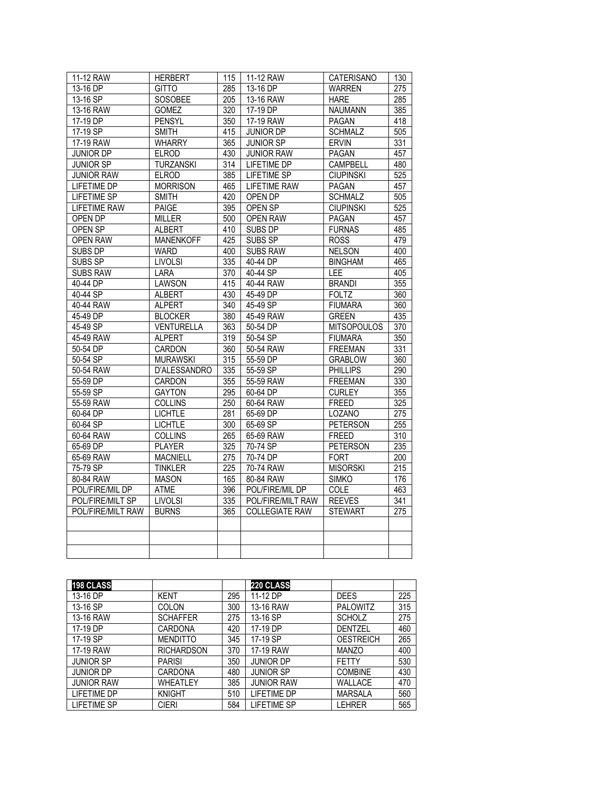| 11-12 RAW           | <b>HERBERT</b>   | 115              | 11-12 RAW             | CATERISANO         | 130              |
|---------------------|------------------|------------------|-----------------------|--------------------|------------------|
| 13-16 DP            | <b>GITTO</b>     | 285              | 13-16 DP              | <b>WARREN</b>      | 275              |
| 13-16 SP            | SOSOBEE          | 205              | 13-16 RAW             | <b>HARE</b>        | 285              |
| 13-16 RAW           | <b>GOMEZ</b>     | 320              | 17-19 DP              | <b>NAUMANN</b>     | 385              |
| 17-19 DP            | <b>PENSYL</b>    | 350              | 17-19 RAW             | <b>PAGAN</b>       | 418              |
| 17-19 SP            | <b>SMITH</b>     | 415              | <b>JUNIOR DP</b>      | <b>SCHMALZ</b>     | 505              |
| 17-19 RAW           | <b>WHARRY</b>    | 365              | <b>JUNIOR SP</b>      | <b>ERVIN</b>       | 331              |
| <b>JUNIOR DP</b>    | <b>ELROD</b>     | 430              | <b>JUNIOR RAW</b>     | PAGAN              | 457              |
| <b>JUNIOR SP</b>    | <b>TURZANSKI</b> | $\overline{314}$ | <b>LIFETIME DP</b>    | <b>CAMPBELL</b>    | 480              |
| <b>JUNIOR RAW</b>   | <b>ELROD</b>     | 385              | <b>LIFETIME SP</b>    | <b>CIUPINSKI</b>   | $\overline{525}$ |
| LIFETIME DP         | <b>MORRISON</b>  | 465              | <b>LIFETIME RAW</b>   | <b>PAGAN</b>       | 457              |
| <b>LIFETIME SP</b>  | <b>SMITH</b>     | 420              | OPEN DP               | <b>SCHMALZ</b>     | 505              |
| <b>LIFETIME RAW</b> | <b>PAIGE</b>     | 395              | OPEN SP               | <b>CIUPINSKI</b>   | $\overline{525}$ |
| OPEN DP             | <b>MILLER</b>    | 500              | <b>OPEN RAW</b>       | <b>PAGAN</b>       | 457              |
| <b>OPEN SP</b>      | <b>ALBERT</b>    | 410              | <b>SUBS DP</b>        | <b>FURNAS</b>      | 485              |
| <b>OPEN RAW</b>     | <b>MANENKOFF</b> | 425              | SUBS SP               | <b>ROSS</b>        | 479              |
| SUBS DP             | <b>WARD</b>      | 400              | <b>SUBS RAW</b>       | <b>NELSON</b>      | 400              |
| <b>SUBS SP</b>      | <b>LIVOLSI</b>   | 335              | 40-44 DP              | <b>BINGHAM</b>     | 465              |
| <b>SUBS RAW</b>     | <b>LARA</b>      | 370              | 40-44 SP              | LEE                | 405              |
| 40-44 DP            | <b>LAWSON</b>    | 415              | 40-44 RAW             | <b>BRANDI</b>      | 355              |
| 40-44 SP            | <b>ALBERT</b>    | 430              | 45-49 DP              | <b>FOLTZ</b>       | 360              |
| 40-44 RAW           | <b>ALPERT</b>    | 340              | 45-49 SP              | <b>FIUMARA</b>     | 360              |
| 45-49 DP            | <b>BLOCKER</b>   | 380              | 45-49 RAW             | <b>GREEN</b>       | 435              |
| 45-49 SP            | VENTURELLA       | 363              | 50-54 DP              | <b>MITSOPOULOS</b> | $\overline{370}$ |
| 45-49 RAW           | <b>ALPERT</b>    | 319              | 50-54 SP              | <b>FIUMARA</b>     | $\overline{350}$ |
| 50-54 DP            | CARDON           | 360              | 50-54 RAW             | <b>FREEMAN</b>     | 331              |
| 50-54 SP            | <b>MURAWSKI</b>  | 315              | 55-59 DP              | <b>GRABLOW</b>     | 360              |
| 50-54 RAW           | D'ALESSANDRO     | 335              | 55-59 SP              | <b>PHILLIPS</b>    | 290              |
| 55-59 DP            | CARDON           | 355              | 55-59 RAW             | <b>FREEMAN</b>     | 330              |
| 55-59 SP            | <b>GAYTON</b>    | 295              | 60-64 DP              | <b>CURLEY</b>      | 355              |
| 55-59 RAW           | <b>COLLINS</b>   | 250              | 60-64 RAW             | FREED              | 325              |
| 60-64 DP            | <b>LICHTLE</b>   | 281              | 65-69 DP              | LOZANO             | $\overline{275}$ |
| 60-64 SP            | <b>LICHTLE</b>   | 300              | 65-69 SP              | <b>PETERSON</b>    | 255              |
| 60-64 RAW           | <b>COLLINS</b>   | 265              | 65-69 RAW             | <b>FREED</b>       | 310              |
| 65-69 DP            | <b>PLAYER</b>    | 325              | 70-74 SP              | <b>PETERSON</b>    | 235              |
| 65-69 RAW           | <b>MACNIELL</b>  | 275              | 70-74 DP              | <b>FORT</b>        | 200              |
| 75-79 SP            | <b>TINKLER</b>   | 225              | 70-74 RAW             | <b>MISORSKI</b>    | 215              |
| 80-84 RAW           | <b>MASON</b>     | 165              | 80-84 RAW             | <b>SIMKO</b>       | 176              |
| POL/FIRE/MIL DP     | <b>ATME</b>      | 396              | POL/FIRE/MIL DP       | <b>COLE</b>        | 463              |
| POL/FIRE/MILT SP    | LIVOLSI          | 335              | POL/FIRE/MILT RAW     | <b>REEVES</b>      | 341              |
| POL/FIRE/MILT RAW   | <b>BURNS</b>     | 365              | <b>COLLEGIATE RAW</b> | <b>STEWART</b>     | $\overline{275}$ |
|                     |                  |                  |                       |                    |                  |
|                     |                  |                  |                       |                    |                  |
|                     |                  |                  |                       |                    |                  |
|                     |                  |                  |                       |                    |                  |

| <b>198 CLASS</b>  |                   |     | 220 CLASS         |                  |     |
|-------------------|-------------------|-----|-------------------|------------------|-----|
| 13-16 DP          | <b>KENT</b>       | 295 | 11-12 DP          | <b>DEES</b>      | 225 |
| 13-16 SP          | <b>COLON</b>      | 300 | 13-16 RAW         | <b>PALOWITZ</b>  | 315 |
| 13-16 RAW         | <b>SCHAFFER</b>   | 275 | 13-16 SP          | <b>SCHOLZ</b>    | 275 |
| 17-19 DP          | <b>CARDONA</b>    | 420 | 17-19 DP          | <b>DENTZEL</b>   | 460 |
| 17-19 SP          | <b>MENDITTO</b>   | 345 | 17-19 SP          | <b>OESTREICH</b> | 265 |
| 17-19 RAW         | <b>RICHARDSON</b> | 370 | 17-19 RAW         | <b>MANZO</b>     | 400 |
| <b>JUNIOR SP</b>  | <b>PARISI</b>     | 350 | <b>JUNIOR DP</b>  | FETTY            | 530 |
| <b>JUNIOR DP</b>  | <b>CARDONA</b>    | 480 | <b>JUNIOR SP</b>  | <b>COMBINE</b>   | 430 |
| <b>JUNIOR RAW</b> | WHEATLEY          | 385 | <b>JUNIOR RAW</b> | WALLACE          | 470 |
| LIFETIME DP       | <b>KNIGHT</b>     | 510 | LIFETIME DP       | <b>MARSALA</b>   | 560 |
| LIFETIME SP       | <b>CIERI</b>      | 584 | LIFETIME SP       | LEHRER           | 565 |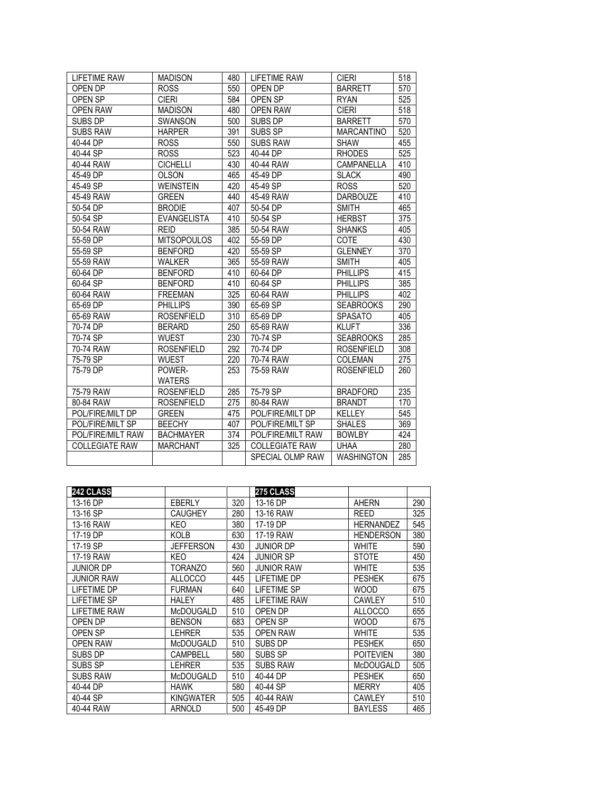| <b>LIFETIME RAW</b>   | <b>MADISON</b>     | 480 | LIFETIME RAW          | <b>CIERI</b>      | 518 |
|-----------------------|--------------------|-----|-----------------------|-------------------|-----|
| OPEN DP               | <b>ROSS</b>        | 550 | OPEN DP               | <b>BARRETT</b>    | 570 |
| OPEN SP               | <b>CIERI</b>       | 584 | OPEN SP               | <b>RYAN</b>       | 525 |
| <b>OPEN RAW</b>       | <b>MADISON</b>     | 480 | <b>OPEN RAW</b>       | <b>CIERI</b>      | 518 |
| SUBS DP               | <b>SWANSON</b>     | 500 | SUBS DP               | <b>BARRETT</b>    | 570 |
| <b>SUBS RAW</b>       | <b>HARPER</b>      | 391 | SUBS SP               | <b>MARCANTINO</b> | 520 |
| 40-44 DP              | <b>ROSS</b>        | 550 | <b>SUBS RAW</b>       | <b>SHAW</b>       | 455 |
| 40-44 SP              | <b>ROSS</b>        | 523 | 40-44 DP              | <b>RHODES</b>     | 525 |
| 40-44 RAW             | <b>CICHELLI</b>    | 430 | 40-44 RAW             | CAMPANELLA        | 410 |
| 45-49 DP              | <b>OLSON</b>       | 465 | 45-49 DP              | <b>SLACK</b>      | 490 |
| 45-49 SP              | <b>WEINSTEIN</b>   | 420 | 45-49 SP              | <b>ROSS</b>       | 520 |
| 45-49 RAW             | <b>GREEN</b>       | 440 | 45-49 RAW             | <b>DARBOUZE</b>   | 410 |
| 50-54 DP              | <b>BRODIE</b>      | 407 | 50-54 DP              | <b>SMITH</b>      | 465 |
| 50-54 SP              | EVANGELISTA        | 410 | 50-54 SP              | <b>HERBST</b>     | 375 |
| 50-54 RAW             | <b>REID</b>        | 385 | 50-54 RAW             | <b>SHANKS</b>     | 405 |
| 55-59 DP              | <b>MITSOPOULOS</b> | 402 | 55-59 DP              | COTE              | 430 |
| 55-59 SP              | <b>BENFORD</b>     | 420 | 55-59 SP              | <b>GLENNEY</b>    | 370 |
| 55-59 RAW             | <b>WALKER</b>      | 365 | 55-59 RAW             | <b>SMITH</b>      | 405 |
| 60-64 DP              | <b>BENFORD</b>     | 410 | 60-64 DP              | <b>PHILLIPS</b>   | 415 |
| 60-64 SP              | <b>BENFORD</b>     | 410 | 60-64 SP              | <b>PHILLIPS</b>   | 385 |
| 60-64 RAW             | <b>FREEMAN</b>     | 325 | 60-64 RAW             | <b>PHILLIPS</b>   | 402 |
| 65-69 DP              | <b>PHILLIPS</b>    | 390 | 65-69 SP              | <b>SEABROOKS</b>  | 290 |
| 65-69 RAW             | <b>ROSENFIELD</b>  | 310 | 65-69 DP              | <b>SPASATO</b>    | 405 |
| 70-74 DP              | <b>BERARD</b>      | 250 | 65-69 RAW             | <b>KLUFT</b>      | 336 |
| 70-74 SP              | <b>WUEST</b>       | 230 | 70-74 SP              | <b>SEABROOKS</b>  | 285 |
| 70-74 RAW             | <b>ROSENFIELD</b>  | 292 | 70-74 DP              | <b>ROSENFIELD</b> | 308 |
| 75-79 SP              | <b>WUEST</b>       | 220 | 70-74 RAW             | <b>COLEMAN</b>    | 275 |
| 75-79 DP              | POWER-             | 253 | 75-59 RAW             | <b>ROSENFIELD</b> | 260 |
|                       | <b>WATERS</b>      |     |                       |                   |     |
| 75-79 RAW             | <b>ROSENFIELD</b>  | 285 | 75-79 SP              | <b>BRADFORD</b>   | 235 |
| 80-84 RAW             | <b>ROSENFIELD</b>  | 275 | 80-84 RAW             | <b>BRANDT</b>     | 170 |
| POL/FIRE/MILT DP      | <b>GREEN</b>       | 475 | POL/FIRE/MILT DP      | <b>KELLEY</b>     | 545 |
| POL/FIRE/MILT SP      | <b>BEECHY</b>      | 407 | POL/FIRE/MILT SP      | <b>SHALES</b>     | 369 |
| POL/FIRE/MILT RAW     | <b>BACHMAYER</b>   | 374 | POL/FIRE/MILT RAW     | <b>BOWLBY</b>     | 424 |
| <b>COLLEGIATE RAW</b> | <b>MARCHANT</b>    | 325 | <b>COLLEGIATE RAW</b> | <b>UHAA</b>       | 280 |
|                       |                    |     | SPECIAL OLMP RAW      | <b>WASHINGTON</b> | 285 |

| 242 CLASS           |                |     | 275 CLASS           |                  |     |
|---------------------|----------------|-----|---------------------|------------------|-----|
| 13-16 DP            | <b>EBERLY</b>  | 320 | 13-16 DP            | <b>AHERN</b>     | 290 |
| 13-16 SP            | CAUGHEY        | 280 | 13-16 RAW           | <b>REED</b>      | 325 |
| 13-16 RAW           | KEO            | 380 | 17-19 DP            | <b>HERNANDEZ</b> | 545 |
| 17-19 DP            | KOLB           | 630 | 17-19 RAW           | <b>HENDERSON</b> | 380 |
| 17-19 SP            | JEFFERSON      | 430 | JUNIOR DP           | <b>WHITE</b>     | 590 |
| 17-19 RAW           | KEO            | 424 | JUNIOR SP           | <b>STOTE</b>     | 450 |
| <b>JUNIOR DP</b>    | TORANZO        | 560 | <b>JUNIOR RAW</b>   | <b>WHITE</b>     | 535 |
| <b>JUNIOR RAW</b>   | <b>ALLOCCO</b> | 445 | <b>LIFETIME DP</b>  | <b>PESHEK</b>    | 675 |
| <b>LIFETIME DP</b>  | <b>FURMAN</b>  | 640 | <b>LIFETIME SP</b>  | WOOD             | 675 |
| <b>LIFETIME SP</b>  | HALEY          | 485 | <b>LIFETIME RAW</b> | <b>CAWLEY</b>    | 510 |
| <b>LIFETIME RAW</b> | McDOUGALD      | 510 | OPEN DP             | <b>ALLOCCO</b>   | 655 |
| OPEN DP             | <b>BENSON</b>  | 683 | OPEN SP             | <b>WOOD</b>      | 675 |
| OPEN SP             | LEHRER         | 535 | <b>OPEN RAW</b>     | <b>WHITE</b>     | 535 |
| <b>OPEN RAW</b>     | McDOUGALD      | 510 | SUBS DP             | <b>PESHEK</b>    | 650 |
| <b>SUBS DP</b>      | CAMPBELL       | 580 | SUBS SP             | <b>POITEVIEN</b> | 380 |
| SUBS SP             | LEHRER         | 535 | <b>SUBS RAW</b>     | McDOUGALD        | 505 |
| <b>SUBS RAW</b>     | McDOUGALD      | 510 | 40-44 DP            | <b>PESHEK</b>    | 650 |
| 40-44 DP            | HAWK           | 580 | 40-44 SP            | <b>MERRY</b>     | 405 |
| 40-44 SP            | KINGWATER      | 505 | 40-44 RAW           | <b>CAWLEY</b>    | 510 |
| 40-44 RAW           | ARNOLD         | 500 | 45-49 DP            | <b>BAYLESS</b>   | 465 |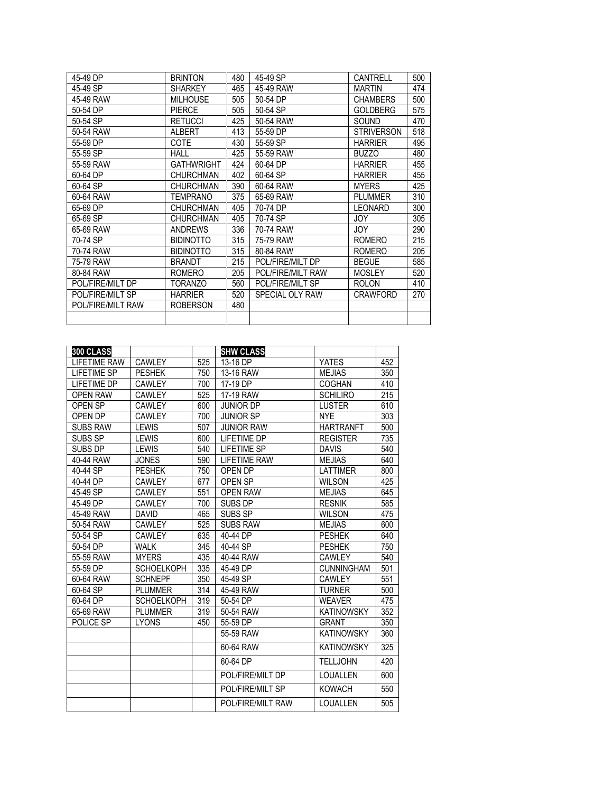| 45-49 DP          | <b>BRINTON</b>    | 480 | 45-49 SP          | CANTRELL          | 500 |
|-------------------|-------------------|-----|-------------------|-------------------|-----|
| 45-49 SP          | <b>SHARKEY</b>    | 465 | 45-49 RAW         | <b>MARTIN</b>     | 474 |
| 45-49 RAW         | <b>MILHOUSE</b>   | 505 | 50-54 DP          | <b>CHAMBERS</b>   | 500 |
| 50-54 DP          | <b>PIERCE</b>     | 505 | 50-54 SP          | <b>GOLDBERG</b>   | 575 |
| 50-54 SP          | <b>RETUCCI</b>    | 425 | 50-54 RAW         | SOUND             | 470 |
| 50-54 RAW         | <b>ALBERT</b>     | 413 | 55-59 DP          | <b>STRIVERSON</b> | 518 |
| 55-59 DP          | <b>COTE</b>       | 430 | 55-59 SP          | <b>HARRIER</b>    | 495 |
| 55-59 SP          | <b>HALL</b>       | 425 | 55-59 RAW         | <b>BUZZO</b>      | 480 |
| 55-59 RAW         | <b>GATHWRIGHT</b> | 424 | 60-64 DP          | <b>HARRIER</b>    | 455 |
| 60-64 DP          | <b>CHURCHMAN</b>  | 402 | 60-64 SP          | <b>HARRIER</b>    | 455 |
| 60-64 SP          | <b>CHURCHMAN</b>  | 390 | 60-64 RAW         | <b>MYERS</b>      | 425 |
| 60-64 RAW         | TEMPRANO          | 375 | 65-69 RAW         | <b>PLUMMER</b>    | 310 |
| 65-69 DP          | <b>CHURCHMAN</b>  | 405 | 70-74 DP          | <b>LEONARD</b>    | 300 |
| 65-69 SP          | <b>CHURCHMAN</b>  | 405 | 70-74 SP          | JOY               | 305 |
| 65-69 RAW         | <b>ANDREWS</b>    | 336 | 70-74 RAW         | JOY.              | 290 |
| 70-74 SP          | <b>BIDINOTTO</b>  | 315 | 75-79 RAW         | <b>ROMERO</b>     | 215 |
| 70-74 RAW         | <b>BIDINOTTO</b>  | 315 | 80-84 RAW         | <b>ROMERO</b>     | 205 |
| 75-79 RAW         | <b>BRANDT</b>     | 215 | POL/FIRE/MILT DP  | <b>BEGUE</b>      | 585 |
| 80-84 RAW         | <b>ROMERO</b>     | 205 | POL/FIRE/MILT RAW | <b>MOSLEY</b>     | 520 |
| POL/FIRE/MILT DP  | TORANZO           | 560 | POL/FIRE/MILT SP  | <b>ROLON</b>      | 410 |
| POL/FIRE/MILT SP  | <b>HARRIER</b>    | 520 | SPECIAL OLY RAW   | <b>CRAWFORD</b>   | 270 |
| POL/FIRE/MILT RAW | <b>ROBERSON</b>   | 480 |                   |                   |     |
|                   |                   |     |                   |                   |     |
|                   |                   |     |                   |                   |     |

| 300 CLASS           |                   |     | <b>SHW CLASS</b>    |                   |     |
|---------------------|-------------------|-----|---------------------|-------------------|-----|
| <b>LIFETIME RAW</b> | <b>CAWLEY</b>     | 525 | 13-16 DP            | <b>YATES</b>      | 452 |
| <b>LIFETIME SP</b>  | <b>PESHEK</b>     | 750 | 13-16 RAW           | <b>MEJIAS</b>     | 350 |
| <b>LIFETIME DP</b>  | <b>CAWLEY</b>     | 700 | 17-19 DP            | <b>COGHAN</b>     | 410 |
| <b>OPEN RAW</b>     | <b>CAWLEY</b>     | 525 | 17-19 RAW           | <b>SCHILIRO</b>   | 215 |
| OPEN SP             | <b>CAWLEY</b>     | 600 | <b>JUNIOR DP</b>    | <b>LUSTER</b>     | 610 |
| OPEN DP             | CAWLEY            | 700 | <b>JUNIOR SP</b>    | <b>NYE</b>        | 303 |
| <b>SUBS RAW</b>     | <b>LEWIS</b>      | 507 | <b>JUNIOR RAW</b>   | <b>HARTRANFT</b>  | 500 |
| SUBS SP             | <b>LEWIS</b>      | 600 | <b>LIFETIME DP</b>  | <b>REGISTER</b>   | 735 |
| SUBS DP             | <b>LEWIS</b>      | 540 | <b>LIFETIME SP</b>  | <b>DAVIS</b>      | 540 |
| 40-44 RAW           | <b>JONES</b>      | 590 | <b>LIFETIME RAW</b> | <b>MEJIAS</b>     | 640 |
| 40-44 SP            | <b>PESHEK</b>     | 750 | OPEN DP             | <b>LATTIMER</b>   | 800 |
| 40-44 DP            | <b>CAWLEY</b>     | 677 | OPEN SP             | <b>WILSON</b>     | 425 |
| 45-49 SP            | <b>CAWLEY</b>     | 551 | <b>OPEN RAW</b>     | <b>MEJIAS</b>     | 645 |
| 45-49 DP            | <b>CAWLEY</b>     | 700 | SUBS DP             | <b>RESNIK</b>     | 585 |
| 45-49 RAW           | <b>DAVID</b>      | 465 | SUBS SP             | <b>WILSON</b>     | 475 |
| 50-54 RAW           | CAWLEY            | 525 | <b>SUBS RAW</b>     | <b>MEJIAS</b>     | 600 |
| 50-54 SP            | CAWLEY            | 635 | 40-44 DP            | <b>PESHEK</b>     | 640 |
| 50-54 DP            | <b>WALK</b>       | 345 | 40-44 SP            | <b>PESHEK</b>     | 750 |
| 55-59 RAW           | <b>MYERS</b>      | 435 | 40-44 RAW           | <b>CAWLEY</b>     | 540 |
| 55-59 DP            | <b>SCHOELKOPH</b> | 335 | 45-49 DP            | <b>CUNNINGHAM</b> | 501 |
| 60-64 RAW           | <b>SCHNEPF</b>    | 350 | 45-49 SP            | CAWLEY            | 551 |
| 60-64 SP            | <b>PLUMMER</b>    | 314 | 45-49 RAW           | <b>TURNER</b>     | 500 |
| 60-64 DP            | <b>SCHOELKOPH</b> | 319 | 50-54 DP            | <b>WEAVER</b>     | 475 |
| 65-69 RAW           | <b>PLUMMER</b>    | 319 | 50-54 RAW           | <b>KATINOWSKY</b> | 352 |
| POLICE SP           | <b>LYONS</b>      | 450 | 55-59 DP            | <b>GRANT</b>      | 350 |
|                     |                   |     | 55-59 RAW           | <b>KATINOWSKY</b> | 360 |
|                     |                   |     | 60-64 RAW           | <b>KATINOWSKY</b> | 325 |
|                     |                   |     | 60-64 DP            | <b>TELLJOHN</b>   | 420 |
|                     |                   |     | POL/FIRE/MILT DP    | LOUALLEN          | 600 |
|                     |                   |     | POL/FIRE/MILT SP    | <b>KOWACH</b>     | 550 |
|                     |                   |     | POL/FIRE/MILT RAW   | LOUALLEN          | 505 |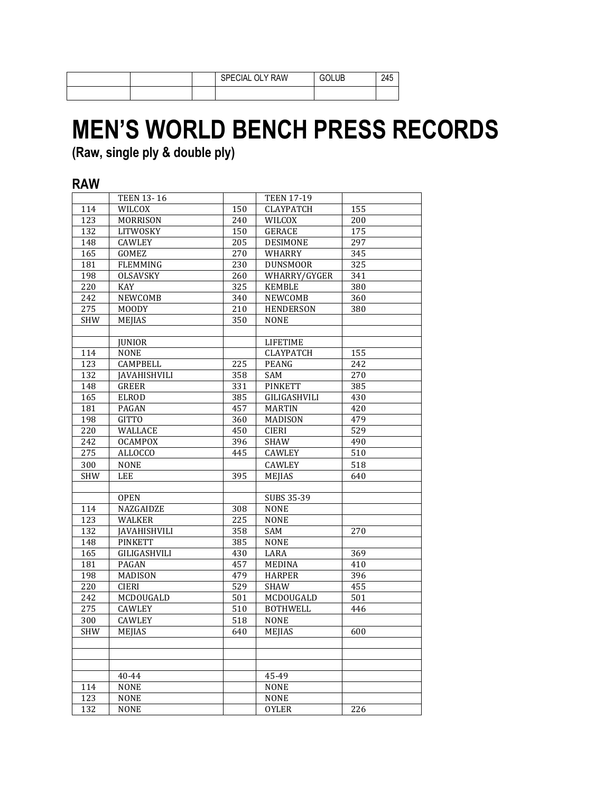|  | <b>SPECIAL</b><br><b>OLY RAW</b> | ι⊔B<br>ы | 245 |
|--|----------------------------------|----------|-----|
|  |                                  |          |     |

## **MEN'S WORLD BENCH PRESS RECORDS**

**(Raw, single ply & double ply)**

## **RAW**

|                  | <b>TEEN 13-16</b>   |     | <b>TEEN 17-19</b> |                  |
|------------------|---------------------|-----|-------------------|------------------|
| 114              | <b>WILCOX</b>       | 150 | <b>CLAYPATCH</b>  | 155              |
| 123              | <b>MORRISON</b>     | 240 | <b>WILCOX</b>     | 200              |
| 132              | LITWOSKY            | 150 | <b>GERACE</b>     | 175              |
| 148              | CAWLEY              | 205 | <b>DESIMONE</b>   | 297              |
| 165              | GOMEZ               | 270 | WHARRY            | 345              |
| 181              | <b>FLEMMING</b>     | 230 | <b>DUNSMOOR</b>   | $\overline{325}$ |
| 198              | <b>OLSAVSKY</b>     | 260 | WHARRY/GYGER      | 341              |
| 220              | KAY                 | 325 | <b>KEMBLE</b>     | 380              |
| 242              | NEWCOMB             | 340 | NEWCOMB           | 360              |
| 275              | <b>MOODY</b>        | 210 | <b>HENDERSON</b>  | 380              |
| <b>SHW</b>       | <b>MEJIAS</b>       | 350 | <b>NONE</b>       |                  |
|                  |                     |     |                   |                  |
|                  | <b>JUNIOR</b>       |     | <b>LIFETIME</b>   |                  |
| 114              | <b>NONE</b>         |     | <b>CLAYPATCH</b>  | 155              |
| 123              | <b>CAMPBELL</b>     | 225 | <b>PEANG</b>      | 242              |
| 132              | <b>JAVAHISHVILI</b> | 358 | SAM               | 270              |
| 148              | GREER               | 331 | <b>PINKETT</b>    | 385              |
| 165              | <b>ELROD</b>        | 385 | GILIGASHVILI      | 430              |
| 181              | PAGAN               | 457 | <b>MARTIN</b>     | 420              |
| 198              | <b>GITTO</b>        | 360 | <b>MADISON</b>    | 479              |
| 220              | <b>WALLACE</b>      | 450 | <b>CIERI</b>      | 529              |
| 242              | <b>OCAMPOX</b>      | 396 | <b>SHAW</b>       | 490              |
| 275              | <b>ALLOCCO</b>      | 445 | CAWLEY            | 510              |
| 300              | <b>NONE</b>         |     | CAWLEY            | 518              |
| <b>SHW</b>       | <b>LEE</b>          | 395 | <b>MEJIAS</b>     | 640              |
|                  |                     |     |                   |                  |
|                  | <b>OPEN</b>         |     | SUBS 35-39        |                  |
| 114              | NAZGAIDZE           | 308 | <b>NONE</b>       |                  |
| $\overline{123}$ | <b>WALKER</b>       | 225 | <b>NONE</b>       |                  |
| 132              | <b>JAVAHISHVILI</b> | 358 | SAM               | 270              |
| 148              | <b>PINKETT</b>      | 385 | <b>NONE</b>       |                  |
| 165              | GILIGASHVILI        | 430 | LARA              | 369              |
| 181              | PAGAN               | 457 | <b>MEDINA</b>     | 410              |
| 198              | MADISON             | 479 | <b>HARPER</b>     | 396              |
| 220              | <b>CIERI</b>        | 529 | <b>SHAW</b>       | 455              |
| 242              | MCDOUGALD           | 501 | MCDOUGALD         | 501              |
| 275              | <b>CAWLEY</b>       | 510 | <b>BOTHWELL</b>   | 446              |
| 300              | CAWLEY              | 518 | <b>NONE</b>       |                  |
| <b>SHW</b>       | <b>MEJIAS</b>       | 640 | <b>MEJIAS</b>     | 600              |
|                  |                     |     |                   |                  |
|                  |                     |     |                   |                  |
|                  |                     |     |                   |                  |
|                  | 40-44               |     | 45-49             |                  |
| 114              | <b>NONE</b>         |     | <b>NONE</b>       |                  |
| 123              | <b>NONE</b>         |     | <b>NONE</b>       |                  |
| 132              | <b>NONE</b>         |     | <b>OYLER</b>      | 226              |
|                  |                     |     |                   |                  |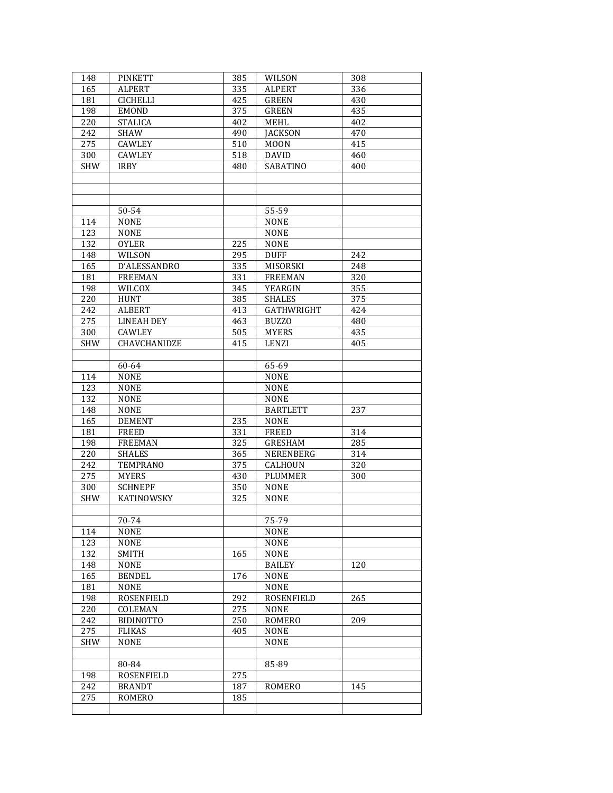| 148        | <b>PINKETT</b>          | 385        | WILSON          | 308 |
|------------|-------------------------|------------|-----------------|-----|
| 165        | <b>ALPERT</b>           | 335        | <b>ALPERT</b>   | 336 |
| 181        | <b>CICHELLI</b>         | 425        | <b>GREEN</b>    | 430 |
| 198        | <b>EMOND</b>            | 375        | <b>GREEN</b>    | 435 |
| 220        | <b>STALICA</b>          | 402        | <b>MEHL</b>     | 402 |
| 242        | <b>SHAW</b>             | 490        | <b>IACKSON</b>  | 470 |
| 275        | <b>CAWLEY</b>           | 510        | <b>MOON</b>     | 415 |
| 300        | CAWLEY                  | 518        | <b>DAVID</b>    | 460 |
| <b>SHW</b> | <b>IRBY</b>             | 480        | SABATINO        | 400 |
|            |                         |            |                 |     |
|            |                         |            |                 |     |
|            |                         |            |                 |     |
|            | 50-54                   |            | 55-59           |     |
| 114        | <b>NONE</b>             |            | <b>NONE</b>     |     |
| 123        | <b>NONE</b>             |            | <b>NONE</b>     |     |
| 132        | <b>OYLER</b>            | 225        | <b>NONE</b>     |     |
| 148        | WILSON                  | 295        | <b>DUFF</b>     | 242 |
| 165        | D'ALESSANDRO            | 335        | MISORSKI        | 248 |
| 181        | <b>FREEMAN</b>          | 331        | <b>FREEMAN</b>  | 320 |
| 198        | <b>WILCOX</b>           | 345        | YEARGIN         | 355 |
| 220        | <b>HUNT</b>             | 385        | <b>SHALES</b>   | 375 |
| 242        | <b>ALBERT</b>           | 413        | GATHWRIGHT      | 424 |
| 275        | <b>LINEAH DEY</b>       | 463        | <b>BUZZO</b>    | 480 |
| 300        | CAWLEY                  | 505        | <b>MYERS</b>    | 435 |
| <b>SHW</b> | CHAVCHANIDZE            | 415        | LENZI           | 405 |
|            |                         |            |                 |     |
|            | 60-64                   |            | 65-69           |     |
| 114        | <b>NONE</b>             |            | <b>NONE</b>     |     |
| 123        | <b>NONE</b>             |            | <b>NONE</b>     |     |
| 132        | <b>NONE</b>             |            | <b>NONE</b>     |     |
| 148        | <b>NONE</b>             |            | <b>BARTLETT</b> | 237 |
| 165        | <b>DEMENT</b>           | 235        | <b>NONE</b>     |     |
| 181        | <b>FREED</b>            | 331        | <b>FREED</b>    | 314 |
| 198        | <b>FREEMAN</b>          | 325        | <b>GRESHAM</b>  | 285 |
| 220        | <b>SHALES</b>           | 365        | NERENBERG       | 314 |
| 242        | <b>TEMPRANO</b>         | 375        | CALHOUN         | 320 |
| 275        | <b>MYERS</b>            | 430        | <b>PLUMMER</b>  | 300 |
| 300        | <b>SCHNEPF</b>          | 350        | <b>NONE</b>     |     |
| <b>SHW</b> | KATINOWSKY              | 325        | <b>NONE</b>     |     |
|            |                         |            |                 |     |
|            | $70-74$                 |            | 75-79           |     |
| 114        | <b>NONE</b>             |            | <b>NONE</b>     |     |
| 123        | <b>NONE</b>             |            | <b>NONE</b>     |     |
| 132        | SMITH                   | 165        | <b>NONE</b>     |     |
| 148        | <b>NONE</b>             |            | <b>BAILEY</b>   | 120 |
| 165        | <b>BENDEL</b>           | 176        | <b>NONE</b>     |     |
| 181        | <b>NONE</b>             |            | <b>NONE</b>     |     |
| 198        | ROSENFIELD              | 292        | ROSENFIELD      | 265 |
| 220        | COLEMAN                 | 275        | <b>NONE</b>     |     |
| 242        | <b>BIDINOTTO</b>        | 250        | ROMERO          | 209 |
| 275        | <b>FLIKAS</b>           | 405        | <b>NONE</b>     |     |
| <b>SHW</b> | <b>NONE</b>             |            | <b>NONE</b>     |     |
|            |                         |            |                 |     |
| 198        | 80-84                   | 275        | 85-89           |     |
| 242        | ROSENFIELD              |            |                 |     |
| 275        | <b>BRANDT</b><br>ROMERO | 187<br>185 | ROMERO          | 145 |
|            |                         |            |                 |     |
|            |                         |            |                 |     |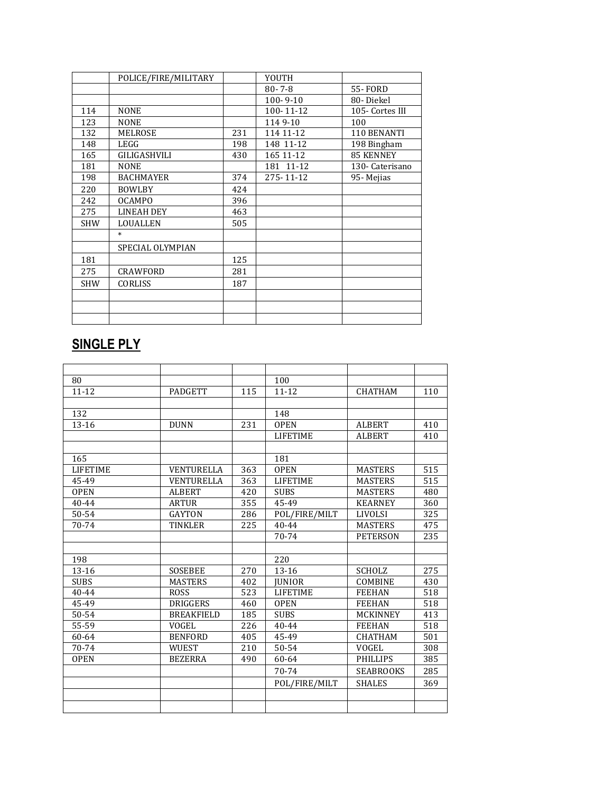|            | POLICE/FIRE/MILITARY |     | YOUTH          |                  |
|------------|----------------------|-----|----------------|------------------|
|            |                      |     | $80 - 7 - 8$   | <b>55-FORD</b>   |
|            |                      |     | $100 - 9 - 10$ | 80-Diekel        |
| 114        | <b>NONE</b>          |     | 100-11-12      | 105- Cortes III  |
| 123        | <b>NONE</b>          |     | 1149-10        | 100              |
| 132        | MELROSE              | 231 | 114 11 - 12    | 110 BENANTI      |
| 148        | LEGG                 | 198 | 148 11-12      | 198 Bingham      |
| 165        | GILIGASHVILI         | 430 | 165 11-12      | <b>85 KENNEY</b> |
| 181        | <b>NONE</b>          |     | 181 11-12      | 130- Caterisano  |
| 198        | <b>BACHMAYER</b>     | 374 | 275-11-12      | 95- Mejias       |
| 220        | <b>BOWLBY</b>        | 424 |                |                  |
| 242        | <b>OCAMPO</b>        | 396 |                |                  |
| 275        | <b>LINEAH DEY</b>    | 463 |                |                  |
| <b>SHW</b> | LOUALLEN             | 505 |                |                  |
|            | $\ast$               |     |                |                  |
|            | SPECIAL OLYMPIAN     |     |                |                  |
| 181        |                      | 125 |                |                  |
| 275        | CRAWFORD             | 281 |                |                  |
| <b>SHW</b> | <b>CORLISS</b>       | 187 |                |                  |
|            |                      |     |                |                  |
|            |                      |     |                |                  |
|            |                      |     |                |                  |

## **SINGLE PLY**

| 80              |                   |     | 100             |                  |     |
|-----------------|-------------------|-----|-----------------|------------------|-----|
| $11 - 12$       | <b>PADGETT</b>    | 115 | $11 - 12$       | <b>CHATHAM</b>   | 110 |
|                 |                   |     |                 |                  |     |
| 132             |                   |     | 148             |                  |     |
| $13 - 16$       | <b>DUNN</b>       | 231 | <b>OPEN</b>     | <b>ALBERT</b>    | 410 |
|                 |                   |     | <b>LIFETIME</b> | <b>ALBERT</b>    | 410 |
|                 |                   |     |                 |                  |     |
| 165             |                   |     | 181             |                  |     |
| <b>LIFETIME</b> | VENTURELLA        | 363 | <b>OPEN</b>     | <b>MASTERS</b>   | 515 |
| 45-49           | <b>VENTURELLA</b> | 363 | <b>LIFETIME</b> | <b>MASTERS</b>   | 515 |
| <b>OPEN</b>     | <b>ALBERT</b>     | 420 | <b>SUBS</b>     | <b>MASTERS</b>   | 480 |
| 40-44           | <b>ARTUR</b>      | 355 | 45-49           | <b>KEARNEY</b>   | 360 |
| 50-54           | <b>GAYTON</b>     | 286 | POL/FIRE/MILT   | <b>LIVOLSI</b>   | 325 |
| 70-74           | TINKLER           | 225 | $40 - 44$       | <b>MASTERS</b>   | 475 |
|                 |                   |     | 70-74           | <b>PETERSON</b>  | 235 |
|                 |                   |     |                 |                  |     |
| 198             |                   |     | 220             |                  |     |
| $13 - 16$       | <b>SOSEBEE</b>    | 270 | $13 - 16$       | <b>SCHOLZ</b>    | 275 |
| <b>SUBS</b>     | <b>MASTERS</b>    | 402 | <b>JUNIOR</b>   | <b>COMBINE</b>   | 430 |
| 40-44           | <b>ROSS</b>       | 523 | <b>LIFETIME</b> | <b>FEEHAN</b>    | 518 |
| 45-49           | <b>DRIGGERS</b>   | 460 | <b>OPEN</b>     | <b>FEEHAN</b>    | 518 |
| 50-54           | <b>BREAKFIELD</b> | 185 | <b>SUBS</b>     | <b>MCKINNEY</b>  | 413 |
| 55-59           | VOGEL             | 226 | $40 - 44$       | <b>FEEHAN</b>    | 518 |
| 60-64           | <b>BENFORD</b>    | 405 | 45-49           | <b>CHATHAM</b>   | 501 |
| 70-74           | <b>WUEST</b>      | 210 | 50-54           | <b>VOGEL</b>     | 308 |
| <b>OPEN</b>     | <b>BEZERRA</b>    | 490 | 60-64           | <b>PHILLIPS</b>  | 385 |
|                 |                   |     | 70-74           | <b>SEABROOKS</b> | 285 |
|                 |                   |     | POL/FIRE/MILT   | <b>SHALES</b>    | 369 |
|                 |                   |     |                 |                  |     |
|                 |                   |     |                 |                  |     |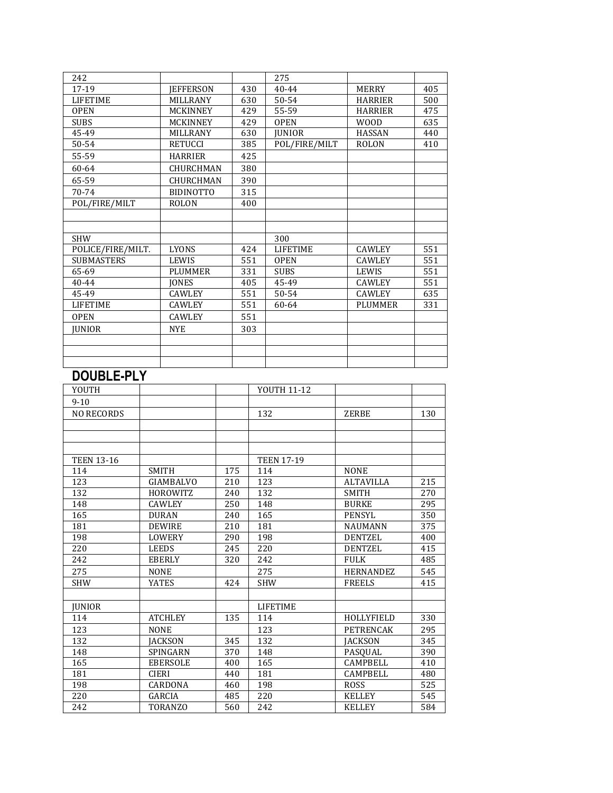| 242               |                  |                  |  |     |     | 275               |                  |     |
|-------------------|------------------|------------------|--|-----|-----|-------------------|------------------|-----|
| 17-19             | <b>IEFFERSON</b> |                  |  |     | 430 | 40-44             | <b>MERRY</b>     | 405 |
| <b>LIFETIME</b>   | <b>MILLRANY</b>  |                  |  |     | 630 | 50-54             | <b>HARRIER</b>   | 500 |
| <b>OPEN</b>       |                  | MCKINNEY         |  |     | 429 | 55-59             | <b>HARRIER</b>   | 475 |
| <b>SUBS</b>       |                  | <b>MCKINNEY</b>  |  |     | 429 | <b>OPEN</b>       | <b>WOOD</b>      | 635 |
| 45-49             |                  | MILLRANY         |  |     | 630 | <b>JUNIOR</b>     | <b>HASSAN</b>    | 440 |
| 50-54             | <b>RETUCCI</b>   |                  |  |     | 385 | POL/FIRE/MILT     | <b>ROLON</b>     | 410 |
| 55-59             |                  | <b>HARRIER</b>   |  |     | 425 |                   |                  |     |
| 60-64             |                  | CHURCHMAN        |  |     | 380 |                   |                  |     |
| 65-59             |                  | CHURCHMAN        |  |     | 390 |                   |                  |     |
|                   |                  |                  |  |     |     |                   |                  |     |
| 70-74             |                  | <b>BIDINOTTO</b> |  |     | 315 |                   |                  |     |
| POL/FIRE/MILT     |                  | <b>ROLON</b>     |  |     | 400 |                   |                  |     |
|                   |                  |                  |  |     |     |                   |                  |     |
|                   |                  |                  |  |     |     |                   |                  |     |
| <b>SHW</b>        |                  |                  |  |     |     | 300               |                  |     |
| POLICE/FIRE/MILT. |                  | LYONS            |  |     | 424 | <b>LIFETIME</b>   | <b>CAWLEY</b>    | 551 |
| <b>SUBMASTERS</b> |                  | LEWIS            |  |     | 551 | <b>OPEN</b>       | <b>CAWLEY</b>    | 551 |
| 65-69             |                  | <b>PLUMMER</b>   |  |     | 331 | <b>SUBS</b>       | LEWIS            | 551 |
| 40-44             |                  | <b>JONES</b>     |  |     | 405 | 45-49             | <b>CAWLEY</b>    | 551 |
| 45-49             |                  | <b>CAWLEY</b>    |  |     | 551 | 50-54             | <b>CAWLEY</b>    | 635 |
| <b>LIFETIME</b>   |                  | <b>CAWLEY</b>    |  |     | 551 | 60-64             | <b>PLUMMER</b>   | 331 |
| <b>OPEN</b>       |                  | <b>CAWLEY</b>    |  |     | 551 |                   |                  |     |
| <b>JUNIOR</b>     |                  | <b>NYE</b>       |  |     | 303 |                   |                  |     |
|                   |                  |                  |  |     |     |                   |                  |     |
|                   |                  |                  |  |     |     |                   |                  |     |
|                   |                  |                  |  |     |     |                   |                  |     |
| <b>DOUBLE-PLY</b> |                  |                  |  |     |     |                   |                  |     |
|                   |                  |                  |  |     |     |                   |                  |     |
| YOUTH             |                  |                  |  |     |     | YOUTH 11-12       |                  |     |
| $9 - 10$          |                  |                  |  |     |     |                   |                  |     |
| <b>NO RECORDS</b> |                  |                  |  |     | 132 |                   | ZERBE            | 130 |
|                   |                  |                  |  |     |     |                   |                  |     |
|                   |                  |                  |  |     |     |                   |                  |     |
|                   |                  |                  |  |     |     |                   |                  |     |
| <b>TEEN 13-16</b> |                  |                  |  |     |     | <b>TEEN 17-19</b> |                  |     |
| 114               |                  | <b>SMITH</b>     |  | 175 | 114 |                   | <b>NONE</b>      |     |
| 123               |                  | <b>GIAMBALVO</b> |  | 210 | 123 |                   | <b>ALTAVILLA</b> | 215 |
| 132               |                  | HOROWITZ         |  | 240 | 132 |                   | <b>SMITH</b>     | 270 |
| 148               |                  | CAWLEY           |  | 250 |     | 148               | <b>BURKE</b>     | 295 |
| 165               |                  | <b>DURAN</b>     |  | 240 | 165 |                   | <b>PENSYL</b>    | 350 |
| 181               |                  | <b>DEWIRE</b>    |  | 210 | 181 |                   | NAUMANN          | 375 |
| 198               |                  | LOWERY           |  | 290 |     | 198               | <b>DENTZEL</b>   | 400 |
| 220               |                  | <b>LEEDS</b>     |  | 245 |     | 220               | <b>DENTZEL</b>   | 415 |
| 242               |                  | <b>EBERLY</b>    |  | 320 |     | 242               | <b>FULK</b>      | 485 |
| 275               |                  | <b>NONE</b>      |  |     |     | 275               | <b>HERNANDEZ</b> | 545 |
| <b>SHW</b>        |                  | <b>YATES</b>     |  | 424 |     | <b>SHW</b>        | <b>FREELS</b>    | 415 |
|                   |                  |                  |  |     |     |                   |                  |     |
|                   |                  |                  |  |     |     | <b>LIFETIME</b>   |                  |     |
| <b>JUNIOR</b>     |                  |                  |  |     |     |                   |                  |     |
| 114               |                  | <b>ATCHLEY</b>   |  | 135 |     | 114               | HOLLYFIELD       | 330 |
| 123               |                  | <b>NONE</b>      |  |     |     | 123               | PETRENCAK        | 295 |
| 132               |                  | <b>JACKSON</b>   |  | 345 |     | 132               | <b>JACKSON</b>   | 345 |
| 148               |                  | SPINGARN         |  | 370 |     | 148               | PASQUAL          | 390 |
| 165               |                  | <b>EBERSOLE</b>  |  | 400 |     | 165               | CAMPBELL         | 410 |
| 181               |                  | CIERI            |  | 440 | 181 |                   | <b>CAMPBELL</b>  | 480 |
| 198               |                  | CARDONA          |  | 460 |     | 198               | ROSS             | 525 |
| 220               |                  | GARCIA           |  | 485 |     | 220               | <b>KELLEY</b>    | 545 |
| 242               |                  | TORANZO          |  | 560 |     | 242               | <b>KELLEY</b>    | 584 |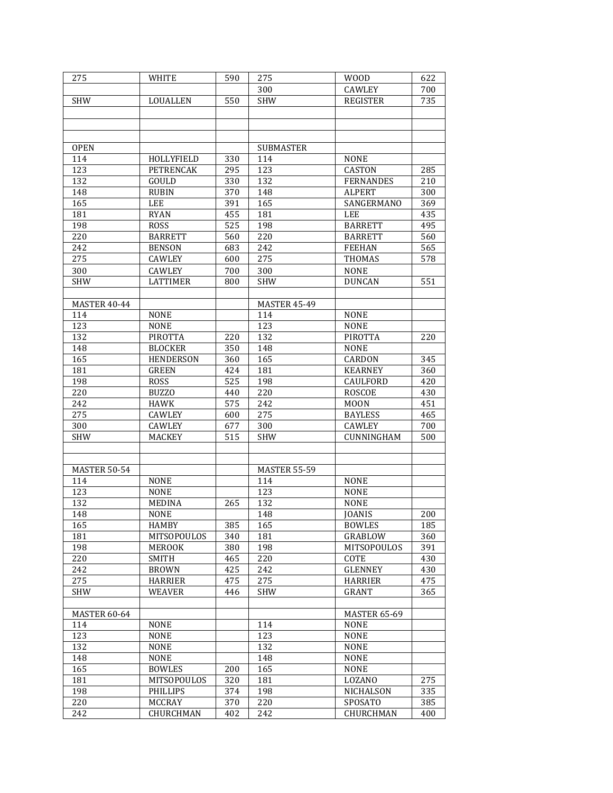| 275                 | WHITE            | 590              | 275                 | <b>WOOD</b>         | 622 |
|---------------------|------------------|------------------|---------------------|---------------------|-----|
|                     |                  |                  | 300                 | <b>CAWLEY</b>       | 700 |
| <b>SHW</b>          | <b>LOUALLEN</b>  | 550              | <b>SHW</b>          | <b>REGISTER</b>     | 735 |
|                     |                  |                  |                     |                     |     |
|                     |                  |                  |                     |                     |     |
|                     |                  |                  |                     |                     |     |
|                     |                  |                  |                     |                     |     |
| <b>OPEN</b>         |                  |                  | <b>SUBMASTER</b>    |                     |     |
| 114                 | HOLLYFIELD       | 330              | 114                 | <b>NONE</b>         |     |
| 123                 | PETRENCAK        | 295              | 123                 | <b>CASTON</b>       | 285 |
| 132                 | GOULD            | 330              | 132                 | <b>FERNANDES</b>    | 210 |
| 148                 | <b>RUBIN</b>     | 370              | 148                 | <b>ALPERT</b>       | 300 |
| 165                 | LEE              | 391              | 165                 | SANGERMANO          | 369 |
| 181                 | <b>RYAN</b>      | 455              | 181                 | <b>LEE</b>          | 435 |
| 198                 | <b>ROSS</b>      | $\overline{525}$ | 198                 | <b>BARRETT</b>      | 495 |
| 220                 | <b>BARRETT</b>   | 560              | 220                 | <b>BARRETT</b>      | 560 |
| 242                 | <b>BENSON</b>    | 683              | 242                 | <b>FEEHAN</b>       | 565 |
| 275                 | CAWLEY           | 600              | 275                 | THOMAS              | 578 |
| 300                 | CAWLEY           | 700              | 300                 | <b>NONE</b>         |     |
| <b>SHW</b>          | <b>LATTIMER</b>  | 800              | <b>SHW</b>          | <b>DUNCAN</b>       | 551 |
|                     |                  |                  |                     |                     |     |
| MASTER 40-44        |                  |                  | <b>MASTER 45-49</b> |                     |     |
| 114                 | <b>NONE</b>      |                  | 114                 | <b>NONE</b>         |     |
| 123                 | <b>NONE</b>      |                  | 123                 | <b>NONE</b>         |     |
| 132                 | <b>PIROTTA</b>   | 220              | 132                 | <b>PIROTTA</b>      | 220 |
|                     |                  |                  |                     |                     |     |
| 148                 | <b>BLOCKER</b>   | 350              | 148                 | <b>NONE</b>         |     |
| 165                 | <b>HENDERSON</b> | 360              | 165                 | CARDON              | 345 |
| 181                 | <b>GREEN</b>     | 424              | 181                 | <b>KEARNEY</b>      | 360 |
| 198                 | <b>ROSS</b>      | 525              | 198                 | CAULFORD            | 420 |
| 220                 | <b>BUZZO</b>     | 440              | 220                 | <b>ROSCOE</b>       | 430 |
| 242                 | <b>HAWK</b>      | 575              | 242                 | <b>MOON</b>         | 451 |
| 275                 | CAWLEY           | 600              | 275                 | <b>BAYLESS</b>      | 465 |
| 300                 | <b>CAWLEY</b>    | 677              | 300                 | <b>CAWLEY</b>       | 700 |
| <b>SHW</b>          | <b>MACKEY</b>    | 515              | <b>SHW</b>          | CUNNINGHAM          | 500 |
|                     |                  |                  |                     |                     |     |
|                     |                  |                  |                     |                     |     |
| <b>MASTER 50-54</b> |                  |                  | <b>MASTER 55-59</b> |                     |     |
| 114                 | <b>NONE</b>      |                  | 114                 | <b>NONE</b>         |     |
| 123                 | <b>NONE</b>      |                  | 123                 | <b>NONE</b>         |     |
| 132                 | <b>MEDINA</b>    | 265              | 132                 | <b>NONE</b>         |     |
| 148                 | <b>NONE</b>      |                  | 148                 | <b>JOANIS</b>       | 200 |
| 165                 | <b>HAMBY</b>     | 385              | 165                 | <b>BOWLES</b>       | 185 |
| 181                 | MITSOPOULOS      | 340              | 181                 | GRABLOW             | 360 |
| 198                 | <b>MEROOK</b>    | 380              | 198                 | MITSOPOULOS         | 391 |
| 220                 | SMITH            | 465              | 220                 | COTE                | 430 |
| 242                 | <b>BROWN</b>     | 425              | 242                 | <b>GLENNEY</b>      | 430 |
| 275                 | HARRIER          | 475              | 275                 | <b>HARRIER</b>      | 475 |
| <b>SHW</b>          | <b>WEAVER</b>    | 446              | <b>SHW</b>          | <b>GRANT</b>        | 365 |
|                     |                  |                  |                     |                     |     |
| MASTER 60-64        |                  |                  |                     | <b>MASTER 65-69</b> |     |
|                     |                  |                  |                     |                     |     |
| 114                 | <b>NONE</b>      |                  | 114                 | <b>NONE</b>         |     |
| 123                 | <b>NONE</b>      |                  | 123                 | <b>NONE</b>         |     |
| 132                 | <b>NONE</b>      |                  | 132                 | <b>NONE</b>         |     |
| 148                 | <b>NONE</b>      |                  | 148                 | <b>NONE</b>         |     |
| 165                 | <b>BOWLES</b>    | 200              | 165                 | <b>NONE</b>         |     |
| 181                 | MITSOPOULOS      | 320              | 181                 | LOZANO              | 275 |
| 198                 | <b>PHILLIPS</b>  | 374              | 198                 | NICHALSON           | 335 |
| 220                 | MCCRAY           | 370              | 220                 | SPOSATO             | 385 |
| 242                 | CHURCHMAN        | 402              | 242                 | CHURCHMAN           | 400 |